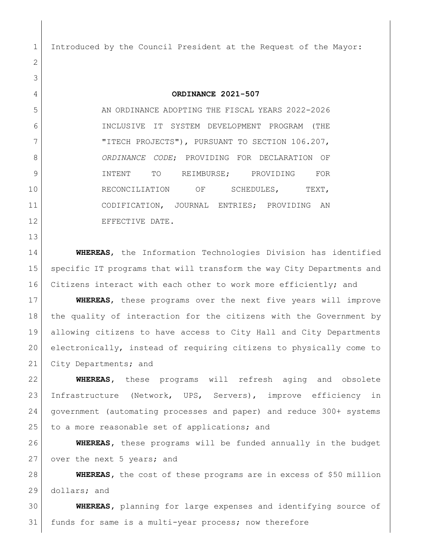Introduced by the Council President at the Request of the Mayor:

**ORDINANCE 2021-507**

 AN ORDINANCE ADOPTING THE FISCAL YEARS 2022-2026 INCLUSIVE IT SYSTEM DEVELOPMENT PROGRAM (THE 7 | TITECH PROJECTS"), PURSUANT TO SECTION 106.207, *ORDINANCE CODE*; PROVIDING FOR DECLARATION OF INTENT TO REIMBURSE; PROVIDING FOR 10 RECONCILIATION OF SCHEDULES, TEXT, CODIFICATION, JOURNAL ENTRIES; PROVIDING AN 12 EFFECTIVE DATE.

 **WHEREAS**, the Information Technologies Division has identified specific IT programs that will transform the way City Departments and Citizens interact with each other to work more efficiently; and

 **WHEREAS**, these programs over the next five years will improve the quality of interaction for the citizens with the Government by allowing citizens to have access to City Hall and City Departments electronically, instead of requiring citizens to physically come to 21 City Departments; and

 **WHEREAS,** these programs will refresh aging and obsolete Infrastructure (Network, UPS, Servers), improve efficiency in government (automating processes and paper) and reduce 300+ systems 25 to a more reasonable set of applications; and

 **WHEREAS,** these programs will be funded annually in the budget 27 over the next 5 years; and

 **WHEREAS,** the cost of these programs are in excess of \$50 million dollars; and

 **WHEREAS,** planning for large expenses and identifying source of funds for same is a multi-year process; now therefore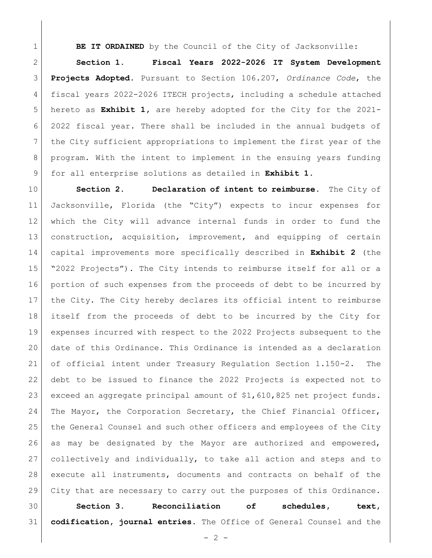**BE IT ORDAINED** by the Council of the City of Jacksonville:

 **Section 1**. **Fiscal Years 2022-2026 IT System Development Projects Adopted.** Pursuant to Section 106.207, *Ordinance Code*, the fiscal years 2022-2026 ITECH projects, including a schedule attached hereto as **Exhibit 1,** are hereby adopted for the City for the 2021- 2022 fiscal year. There shall be included in the annual budgets of the City sufficient appropriations to implement the first year of the program. With the intent to implement in the ensuing years funding for all enterprise solutions as detailed in **Exhibit 1**.

 **Section 2. Declaration of intent to reimburse.** The City of Jacksonville, Florida (the "City") expects to incur expenses for which the City will advance internal funds in order to fund the construction, acquisition, improvement, and equipping of certain capital improvements more specifically described in **Exhibit 2** (the "2022 Projects"). The City intends to reimburse itself for all or a portion of such expenses from the proceeds of debt to be incurred by the City. The City hereby declares its official intent to reimburse itself from the proceeds of debt to be incurred by the City for expenses incurred with respect to the 2022 Projects subsequent to the date of this Ordinance. This Ordinance is intended as a declaration of official intent under Treasury Regulation Section 1.150-2. The debt to be issued to finance the 2022 Projects is expected not to exceed an aggregate principal amount of \$1,610,825 net project funds. 24 The Mayor, the Corporation Secretary, the Chief Financial Officer, the General Counsel and such other officers and employees of the City as may be designated by the Mayor are authorized and empowered, collectively and individually, to take all action and steps and to execute all instruments, documents and contracts on behalf of the City that are necessary to carry out the purposes of this Ordinance.

 **Section 3. Reconciliation of schedules, text, codification, journal entries.** The Office of General Counsel and the